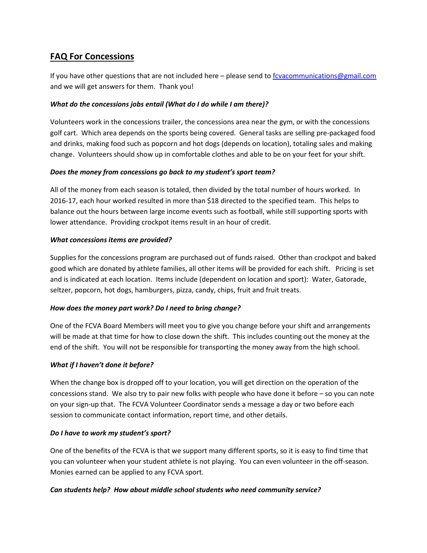# **FAQ For Concessions**

If you have other questions that are not included here – please send to fcvacommunications@gmail.com and we will get answers for them. Thank you!

#### *What do the concessions jobs entail (What do I do while I am there)?*

Volunteers work in the concessions trailer, the concessions area near the gym, or with the concessions golf cart. Which area depends on the sports being covered. General tasks are selling pre-packaged food and drinks, making food such as popcorn and hot dogs (depends on location), totaling sales and making change. Volunteers should show up in comfortable clothes and able to be on your feet for your shift.

#### *Does the money from concessions go back to my student's sport team?*

All of the money from each season is totaled, then divided by the total number of hours worked. In 2016-17, each hour worked resulted in more than \$18 directed to the specified team. This helps to balance out the hours between large income events such as football, while still supporting sports with lower attendance. Providing crockpot items result in an hour of credit.

#### *What concessions items are provided?*

Supplies for the concessions program are purchased out of funds raised. Other than crockpot and baked good which are donated by athlete families, all other items will be provided for each shift. Pricing is set and is indicated at each location. Items include (dependent on location and sport): Water, Gatorade, seltzer, popcorn, hot dogs, hamburgers, pizza, candy, chips, fruit and fruit treats.

## *How does the money part work? Do I need to bring change?*

One of the FCVA Board Members will meet you to give you change before your shift and arrangements will be made at that time for how to close down the shift. This includes counting out the money at the end of the shift. You will not be responsible for transporting the money away from the high school.

## *What if I haven't done it before?*

When the change box is dropped off to your location, you will get direction on the operation of the concessions stand. We also try to pair new folks with people who have done it before – so you can note on your sign-up that. The FCVA Volunteer Coordinator sends a message a day or two before each session to communicate contact information, report time, and other details.

#### *Do I have to work my student's sport?*

One of the benefits of the FCVA is that we support many different sports, so it is easy to find time that you can volunteer when your student athlete is not playing. You can even volunteer in the off-season. Monies earned can be applied to any FCVA sport.

## *Can students help? How about middle school students who need community service?*